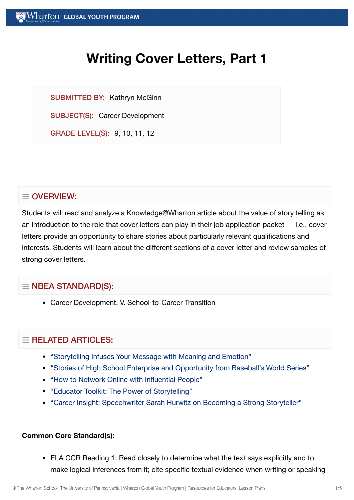# **Writing Cover Letters, Part 1**

SUBMITTED BY: Kathryn McGinn

SUBJECT(S): Career Development

GRADE LEVEL(S): 9, 10, 11, 12

# $\equiv$  OVERVIEW:

Students will read and analyze a Knowledge@Wharton article about the value of story telling as an introduction to the role that cover letters can play in their job application packet — i.e., cover letters provide an opportunity to share stories about particularly relevant qualifications and interests. Students will learn about the different sections of a cover letter and review samples of strong cover letters.

## $\equiv$  NBEA STANDARD(S):

Career Development, V. School-to-Career Transition

## $=$  RELATED ARTICLES:

- "Storytelling [Infuses Your](https://globalyouth.wharton.upenn.edu/articles/storytelling-message-meaning-emotion/) Message with Meaning and Emotion"
- "Stories of High School Enterprise and [Opportunity from](https://globalyouth.wharton.upenn.edu/articles/stories-of-high-school-enterprise-and-opportunity-from-baseballs-world-series/) Baseball's World Series"
- "How to Network Online with [Influential](https://globalyouth.wharton.upenn.edu/articles/network-online-powerful-people/) People"
- "Educator Toolkit: The Power of [Storytelling"](https://globalyouth.wharton.upenn.edu/articles/educator-toolkit-power-storytelling/)
- "Career Insight: [Speechwriter](https://globalyouth.wharton.upenn.edu/articles/career-insight-white-house-speechwriter-sarah-hurwitz-becoming-strong-public-speaker-storyteller/) Sarah Hurwitz on Becoming a Strong Storyteller"

#### **Common Core Standard(s):**

ELA CCR Reading 1: Read closely to determine what the text says explicitly and to make logical inferences from it; cite specific textual evidence when writing or speaking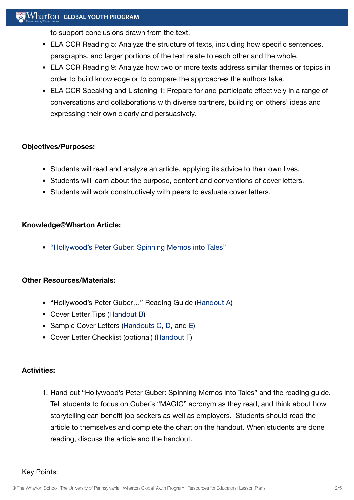## Wharton GLOBAL YOUTH PROGRAM

to support conclusions drawn from the text.

- ELA CCR Reading 5: Analyze the structure of texts, including how specific sentences, paragraphs, and larger portions of the text relate to each other and the whole.
- ELA CCR Reading 9: Analyze how two or more texts address similar themes or topics in order to build knowledge or to compare the approaches the authors take.
- ELA CCR Speaking and Listening 1: Prepare for and participate effectively in a range of conversations and collaborations with diverse partners, building on others' ideas and expressing their own clearly and persuasively.

#### **Objectives/Purposes:**

- Students will read and analyze an article, applying its advice to their own lives.
- Students will learn about the purpose, content and conventions of cover letters.
- Students will work constructively with peers to evaluate cover letters.

#### **Knowledge@Wharton Article:**

["Hollywood's Peter](http://knowledge.wharton.upenn.edu/article.cfm?articleid=2270) Guber: Spinning Memos into Tales"

#### **Other Resources/Materials:**

- "Hollywood's Peter Guber..." Reading Guide [\(Handout](https://globalyouth.wharton.upenn.edu/wp-content/uploads/2012/01/Career-Development-4_handoutA.pdf) A)
- Cover Letter Tips ([Handout](https://globalyouth.wharton.upenn.edu/wp-content/uploads/2012/01/Career-Development-4_handoutB.pdf) B)
- Sample Cover Letters ([Handouts C](https://globalyouth.wharton.upenn.edu/wp-content/uploads/2012/01/Career-Development-4_handoutC.pdf), [D](https://globalyouth.wharton.upenn.edu/wp-content/uploads/2012/01/Career-Development-4_handoutD.pdf), and [E\)](https://globalyouth.wharton.upenn.edu/wp-content/uploads/2012/01/Career-Development-4_handoutE.pdf)
- Cover Letter Checklist (optional) [\(Handout](https://globalyouth.wharton.upenn.edu/wp-content/uploads/2012/01/Career-Development-4_handoutF.pdf) F)

#### **Activities:**

1. Hand out "Hollywood's Peter Guber: Spinning Memos into Tales" and the reading guide. Tell students to focus on Guber's "MAGIC" acronym as they read, and think about how storytelling can benefit job seekers as well as employers. Students should read the article to themselves and complete the chart on the handout. When students are done reading, discuss the article and the handout.

Key Points: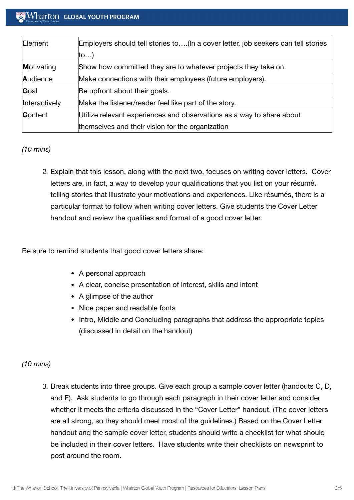## $\operatorname{Wharton}\nolimits$  global youth program

| Element       | Employers should tell stories to(In a cover letter, job seekers can tell stories |
|---------------|----------------------------------------------------------------------------------|
|               | ∣to…)                                                                            |
| Motivating    | Show how committed they are to whatever projects they take on.                   |
| Audience      | Make connections with their employees (future employers).                        |
| Goal          | Be upfront about their goals.                                                    |
| Interactively | Make the listener/reader feel like part of the story.                            |
| Content       | Utilize relevant experiences and observations as a way to share about            |
|               | themselves and their vision for the organization                                 |

#### *(10 mins)*

2. Explain that this lesson, along with the next two, focuses on writing cover letters. Cover letters are, in fact, a way to develop your qualifications that you list on your résumé, telling stories that illustrate your motivations and experiences. Like résumés, there is a particular format to follow when writing cover letters. Give students the Cover Letter handout and review the qualities and format of a good cover letter.

Be sure to remind students that good cover letters share:

- A personal approach
- A clear, concise presentation of interest, skills and intent
- A glimpse of the author
- Nice paper and readable fonts
- Intro, Middle and Concluding paragraphs that address the appropriate topics (discussed in detail on the handout)

#### *(10 mins)*

3. Break students into three groups. Give each group a sample cover letter (handouts C, D, and E). Ask students to go through each paragraph in their cover letter and consider whether it meets the criteria discussed in the "Cover Letter" handout. (The cover letters are all strong, so they should meet most of the guidelines.) Based on the Cover Letter handout and the sample cover letter, students should write a checklist for what should be included in their cover letters. Have students write their checklists on newsprint to post around the room.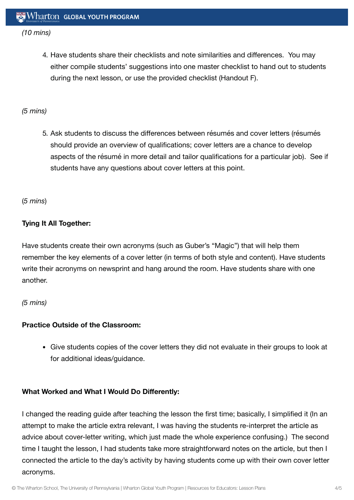## *(10 mins)*

4. Have students share their checklists and note similarities and differences. You may either compile students' suggestions into one master checklist to hand out to students during the next lesson, or use the provided checklist (Handout F).

## *(5 mins)*

5. Ask students to discuss the differences between résumés and cover letters (résumés should provide an overview of qualifications; cover letters are a chance to develop aspects of the résumé in more detail and tailor qualifications for a particular job). See if students have any questions about cover letters at this point.

(*5 mins*)

## **Tying It All Together:**

Have students create their own acronyms (such as Guber's "Magic") that will help them remember the key elements of a cover letter (in terms of both style and content). Have students write their acronyms on newsprint and hang around the room. Have students share with one another.

*(5 mins)*

#### **Practice Outside of the Classroom:**

Give students copies of the cover letters they did not evaluate in their groups to look at for additional ideas/guidance.

#### **What Worked and What I Would Do Differently:**

I changed the reading guide after teaching the lesson the first time; basically, I simplified it (In an attempt to make the article extra relevant, I was having the students re-interpret the article as advice about cover-letter writing, which just made the whole experience confusing.) The second time I taught the lesson, I had students take more straightforward notes on the article, but then I connected the article to the day's activity by having students come up with their own cover letter acronyms.